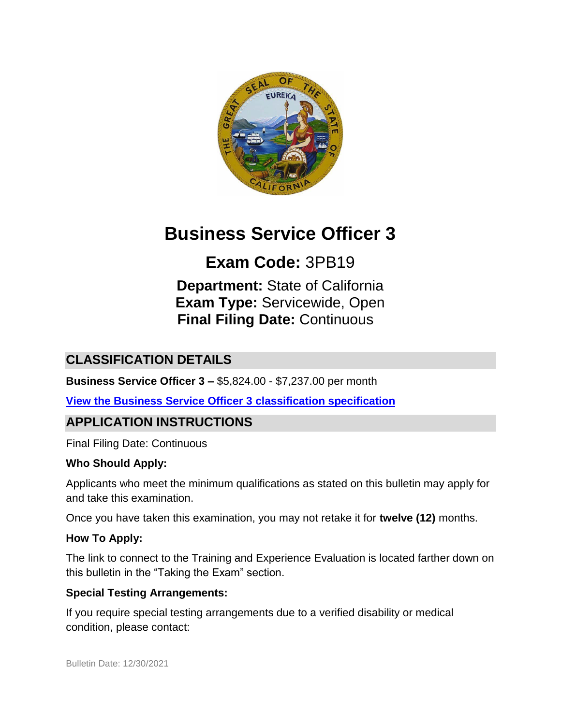

# **Business Service Officer 3**

# **Exam Code:** 3PB19

**Department:** State of California **Exam Type:** Servicewide, Open **Final Filing Date:** Continuous

## **CLASSIFICATION DETAILS**

**Business Service Officer 3 –** \$5,824.00 - \$7,237.00 per month

**View the [Business Service Officer 3 classification specification](https://www.calhr.ca.gov/state-hr-professionals/Pages/4707.aspx)**

### **APPLICATION INSTRUCTIONS**

Final Filing Date: Continuous

#### **Who Should Apply:**

Applicants who meet the minimum qualifications as stated on this bulletin may apply for and take this examination.

Once you have taken this examination, you may not retake it for **twelve (12)** months.

#### **How To Apply:**

The link to connect to the Training and Experience Evaluation is located farther down on this bulletin in the "Taking the Exam" section.

#### **Special Testing Arrangements:**

If you require special testing arrangements due to a verified disability or medical condition, please contact: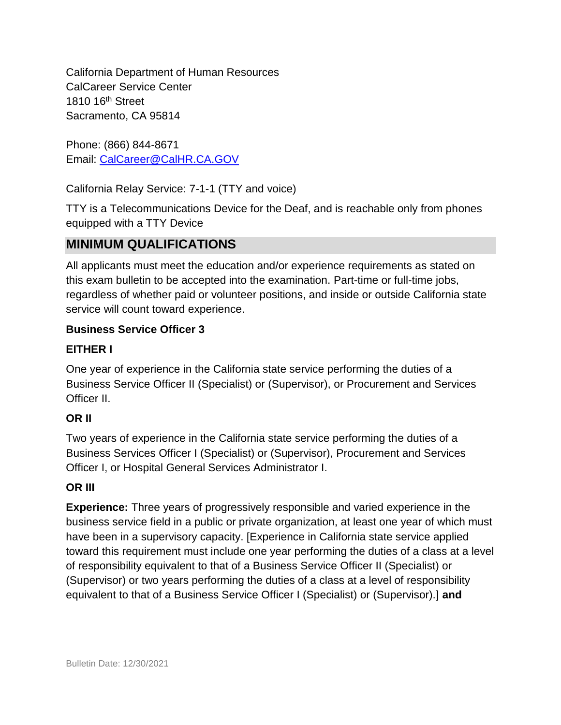California Department of Human Resources CalCareer Service Center 1810 16<sup>th</sup> Street Sacramento, CA 95814

Phone: (866) 844-8671 Email: [CalCareer@CalHR.CA.GOV](mailto:CalCareer@CalHR.CA.GOV)

California Relay Service: 7-1-1 (TTY and voice)

TTY is a Telecommunications Device for the Deaf, and is reachable only from phones equipped with a TTY Device

### **MINIMUM QUALIFICATIONS**

All applicants must meet the education and/or experience requirements as stated on this exam bulletin to be accepted into the examination. Part-time or full-time jobs, regardless of whether paid or volunteer positions, and inside or outside California state service will count toward experience.

#### **Business Service Officer 3**

#### **EITHER I**

One year of experience in the California state service performing the duties of a Business Service Officer II (Specialist) or (Supervisor), or Procurement and Services Officer II.

### **OR II**

Two years of experience in the California state service performing the duties of a Business Services Officer I (Specialist) or (Supervisor), Procurement and Services Officer I, or Hospital General Services Administrator I.

#### **OR III**

**Experience:** Three years of progressively responsible and varied experience in the business service field in a public or private organization, at least one year of which must have been in a supervisory capacity. [Experience in California state service applied toward this requirement must include one year performing the duties of a class at a level of responsibility equivalent to that of a Business Service Officer II (Specialist) or (Supervisor) or two years performing the duties of a class at a level of responsibility equivalent to that of a Business Service Officer I (Specialist) or (Supervisor).] **and**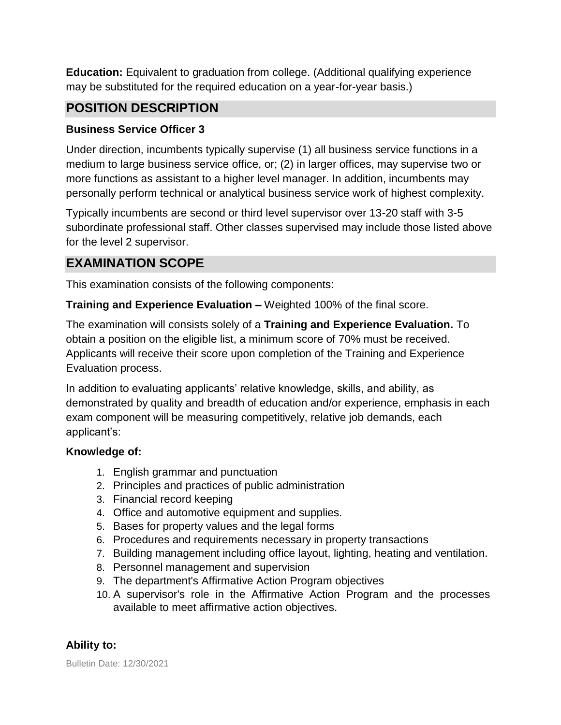**Education:** Equivalent to graduation from college. (Additional qualifying experience may be substituted for the required education on a year-for-year basis.)

### **POSITION DESCRIPTION**

#### **Business Service Officer 3**

Under direction, incumbents typically supervise (1) all business service functions in a medium to large business service office, or; (2) in larger offices, may supervise two or more functions as assistant to a higher level manager. In addition, incumbents may personally perform technical or analytical business service work of highest complexity.

Typically incumbents are second or third level supervisor over 13-20 staff with 3-5 subordinate professional staff. Other classes supervised may include those listed above for the level 2 supervisor.

## **EXAMINATION SCOPE**

This examination consists of the following components:

**Training and Experience Evaluation –** Weighted 100% of the final score.

The examination will consists solely of a **Training and Experience Evaluation.** To obtain a position on the eligible list, a minimum score of 70% must be received. Applicants will receive their score upon completion of the Training and Experience Evaluation process.

In addition to evaluating applicants' relative knowledge, skills, and ability, as demonstrated by quality and breadth of education and/or experience, emphasis in each exam component will be measuring competitively, relative job demands, each applicant's:

#### **Knowledge of:**

- 1. English grammar and punctuation
- 2. Principles and practices of public administration
- 3. Financial record keeping
- 4. Office and automotive equipment and supplies.
- 5. Bases for property values and the legal forms
- 6. Procedures and requirements necessary in property transactions
- 7. Building management including office layout, lighting, heating and ventilation.
- 8. Personnel management and supervision
- 9. The department's Affirmative Action Program objectives
- 10. A supervisor's role in the Affirmative Action Program and the processes available to meet affirmative action objectives.

#### **Ability to:**

Bulletin Date: 12/30/2021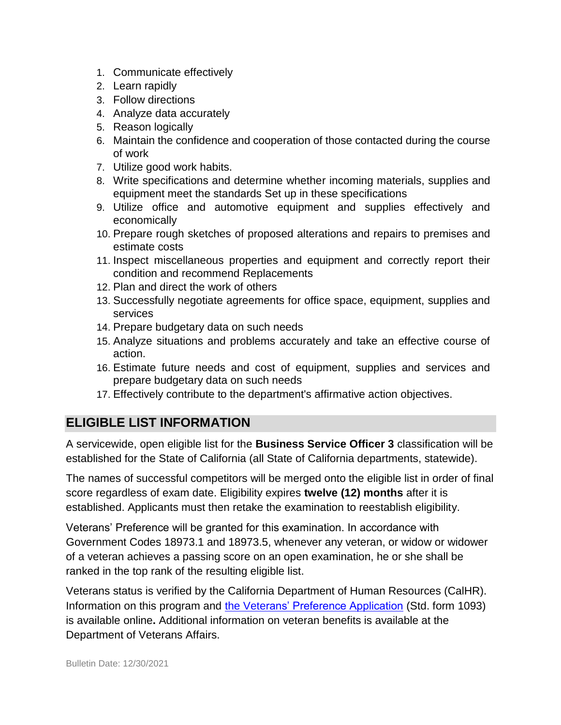- 1. Communicate effectively
- 2. Learn rapidly
- 3. Follow directions
- 4. Analyze data accurately
- 5. Reason logically
- 6. Maintain the confidence and cooperation of those contacted during the course of work
- 7. Utilize good work habits.
- 8. Write specifications and determine whether incoming materials, supplies and equipment meet the standards Set up in these specifications
- 9. Utilize office and automotive equipment and supplies effectively and economically
- 10. Prepare rough sketches of proposed alterations and repairs to premises and estimate costs
- 11. Inspect miscellaneous properties and equipment and correctly report their condition and recommend Replacements
- 12. Plan and direct the work of others
- 13. Successfully negotiate agreements for office space, equipment, supplies and services
- 14. Prepare budgetary data on such needs
- 15. Analyze situations and problems accurately and take an effective course of action.
- 16. Estimate future needs and cost of equipment, supplies and services and prepare budgetary data on such needs
- 17. Effectively contribute to the department's affirmative action objectives.

# **ELIGIBLE LIST INFORMATION**

A servicewide, open eligible list for the **Business Service Officer 3** classification will be established for the State of California (all State of California departments, statewide).

The names of successful competitors will be merged onto the eligible list in order of final score regardless of exam date. Eligibility expires **twelve (12) months** after it is established. Applicants must then retake the examination to reestablish eligibility.

Veterans' Preference will be granted for this examination. In accordance with Government Codes 18973.1 and 18973.5, whenever any veteran, or widow or widower of a veteran achieves a passing score on an open examination, he or she shall be ranked in the top rank of the resulting eligible list.

Veterans status is verified by the California Department of Human Resources (CalHR). Information on this program and [the Veterans' Preference Application](https://www.jobs.ca.gov/CalHRPublic/Landing/Jobs/VeteransInformation.aspx) (Std. form 1093) is available online**.** Additional information on veteran benefits is available at the Department of Veterans Affairs.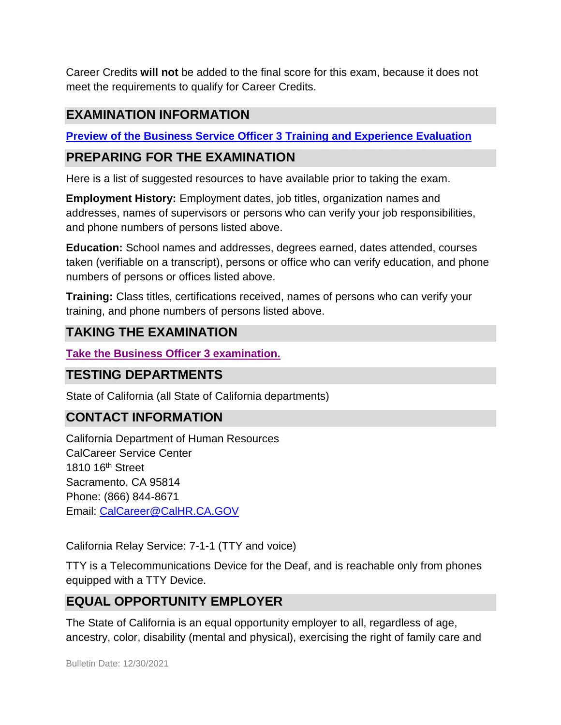Career Credits **will not** be added to the final score for this exam, because it does not meet the requirements to qualify for Career Credits.

# **EXAMINATION INFORMATION**

**[Preview of the Business Service Officer 3 Training and Experience Evaluation](http://jobs.ca.gov/jobsgen/3PB19D.pdf)**

### **PREPARING FOR THE EXAMINATION**

Here is a list of suggested resources to have available prior to taking the exam.

**Employment History:** Employment dates, job titles, organization names and addresses, names of supervisors or persons who can verify your job responsibilities, and phone numbers of persons listed above.

**Education:** School names and addresses, degrees earned, dates attended, courses taken (verifiable on a transcript), persons or office who can verify education, and phone numbers of persons or offices listed above.

**Training:** Class titles, certifications received, names of persons who can verify your training, and phone numbers of persons listed above.

## **TAKING THE EXAMINATION**

**[Take the Business Officer 3 examination.](https://www.jobs.ca.gov/public/login.aspx?ExamId=3PB19)**

### **TESTING DEPARTMENTS**

State of California (all State of California departments)

## **CONTACT INFORMATION**

California Department of Human Resources CalCareer Service Center 1810 16<sup>th</sup> Street Sacramento, CA 95814 Phone: (866) 844-8671 Email: [CalCareer@CalHR.CA.GOV](mailto:CalCareer@CalHR.CA.GOV)

California Relay Service: 7-1-1 (TTY and voice)

TTY is a Telecommunications Device for the Deaf, and is reachable only from phones equipped with a TTY Device.

### **EQUAL OPPORTUNITY EMPLOYER**

The State of California is an equal opportunity employer to all, regardless of age, ancestry, color, disability (mental and physical), exercising the right of family care and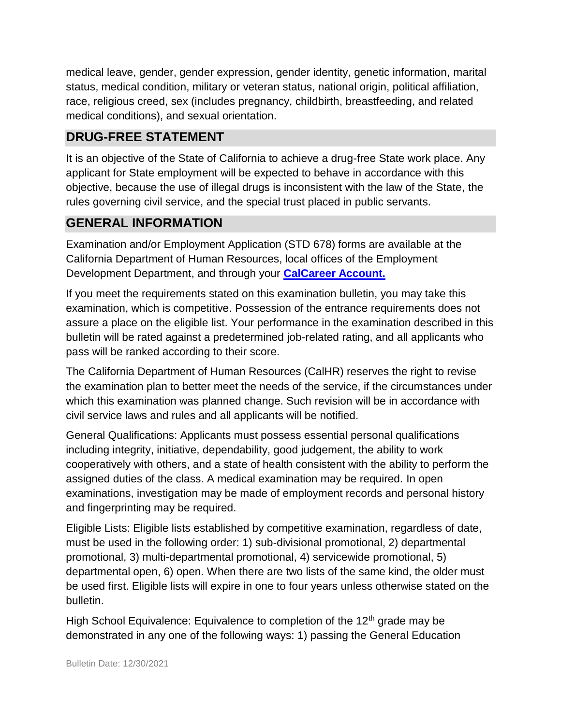medical leave, gender, gender expression, gender identity, genetic information, marital status, medical condition, military or veteran status, national origin, political affiliation, race, religious creed, sex (includes pregnancy, childbirth, breastfeeding, and related medical conditions), and sexual orientation.

# **DRUG-FREE STATEMENT**

It is an objective of the State of California to achieve a drug-free State work place. Any applicant for State employment will be expected to behave in accordance with this objective, because the use of illegal drugs is inconsistent with the law of the State, the rules governing civil service, and the special trust placed in public servants.

# **GENERAL INFORMATION**

Examination and/or Employment Application (STD 678) forms are available at the California Department of Human Resources, local offices of the Employment Development Department, and through your **[CalCareer Account.](http://www.jobs.ca.gov/)**

If you meet the requirements stated on this examination bulletin, you may take this examination, which is competitive. Possession of the entrance requirements does not assure a place on the eligible list. Your performance in the examination described in this bulletin will be rated against a predetermined job-related rating, and all applicants who pass will be ranked according to their score.

The California Department of Human Resources (CalHR) reserves the right to revise the examination plan to better meet the needs of the service, if the circumstances under which this examination was planned change. Such revision will be in accordance with civil service laws and rules and all applicants will be notified.

General Qualifications: Applicants must possess essential personal qualifications including integrity, initiative, dependability, good judgement, the ability to work cooperatively with others, and a state of health consistent with the ability to perform the assigned duties of the class. A medical examination may be required. In open examinations, investigation may be made of employment records and personal history and fingerprinting may be required.

Eligible Lists: Eligible lists established by competitive examination, regardless of date, must be used in the following order: 1) sub-divisional promotional, 2) departmental promotional, 3) multi-departmental promotional, 4) servicewide promotional, 5) departmental open, 6) open. When there are two lists of the same kind, the older must be used first. Eligible lists will expire in one to four years unless otherwise stated on the bulletin.

High School Equivalence: Equivalence to completion of the  $12<sup>th</sup>$  grade may be demonstrated in any one of the following ways: 1) passing the General Education